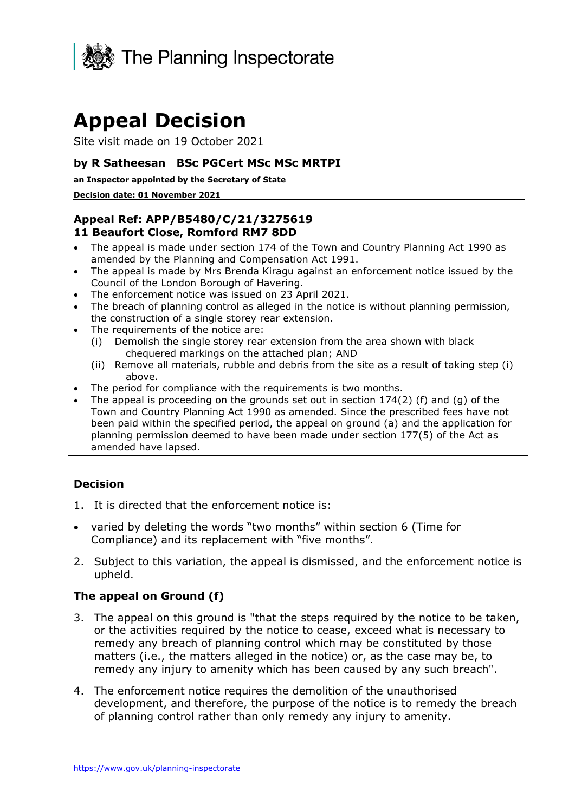

# **Appeal Decision**

Site visit made on 19 October 2021

### **by R Satheesan BSc PGCert MSc MSc MRTPI**

#### **an Inspector appointed by the Secretary of State**

#### **Decision date: 01 November 2021**

## **11 Beaufort Close, Romford RM7 8DD Appeal Ref: APP/B5480/C/21/3275619**

- The appeal is made under section 174 of the Town and Country Planning Act 1990 as amended by the Planning and Compensation Act 1991.
- Council of the London Borough of Havering. • The appeal is made by Mrs Brenda Kiragu against an enforcement notice issued by the
- The enforcement notice was issued on 23 April 2021.
- The breach of planning control as alleged in the notice is without planning permission, the construction of a single storey rear extension.
- The requirements of the notice are:
	- (i) Demolish the single storey rear extension from the area shown with black chequered markings on the attached plan; AND
	- (ii) Remove all materials, rubble and debris from the site as a result of taking step (i) above.
- The period for compliance with the requirements is two months.
- been paid within the specified period, the appeal on ground (a) and the application for The appeal is proceeding on the grounds set out in section  $174(2)$  (f) and (g) of the Town and Country Planning Act 1990 as amended. Since the prescribed fees have not planning permission deemed to have been made under section 177(5) of the Act as amended have lapsed.

# **Decision**

- 1. It is directed that the enforcement notice is:
- • varied by deleting the words "two months" within section 6 (Time for Compliance) and its replacement with "five months".
- 2. Subject to this variation, the appeal is dismissed, and the enforcement notice is upheld.

#### **The appeal on Ground (f)**

- or the activities required by the notice to cease, exceed what is necessary to remedy any breach of planning control which may be constituted by those matters (i.e., the matters alleged in the notice) or, as the case may be, to remedy any injury to amenity which has been caused by any such breach". 3. The appeal on this ground is "that the steps required by the notice to be taken,
- development, and therefore, the purpose of the notice is to remedy the breach of planning control rather than only remedy any injury to amenity. 4. The enforcement notice requires the demolition of the unauthorised